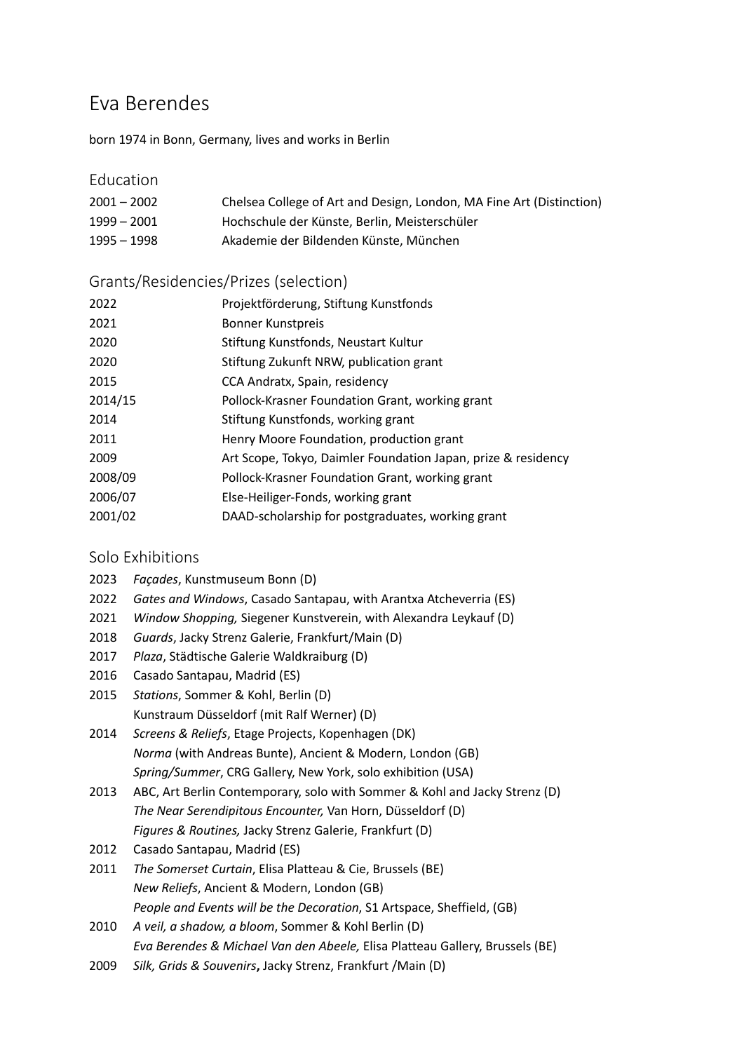# Eva Berendes

born 1974 in Bonn, Germany, lives and works in Berlin

#### Education

| $2001 - 2002$ | Chelsea College of Art and Design, London, MA Fine Art (Distinction) |
|---------------|----------------------------------------------------------------------|
| $1999 - 2001$ | Hochschule der Künste, Berlin, Meisterschüler                        |
| $1995 - 1998$ | Akademie der Bildenden Künste, München                               |

Grants/Residencies/Prizes (selection)

| 2022    | Projektförderung, Stiftung Kunstfonds                         |
|---------|---------------------------------------------------------------|
| 2021    | <b>Bonner Kunstpreis</b>                                      |
| 2020    | Stiftung Kunstfonds, Neustart Kultur                          |
| 2020    | Stiftung Zukunft NRW, publication grant                       |
| 2015    | CCA Andratx, Spain, residency                                 |
| 2014/15 | Pollock-Krasner Foundation Grant, working grant               |
| 2014    | Stiftung Kunstfonds, working grant                            |
| 2011    | Henry Moore Foundation, production grant                      |
| 2009    | Art Scope, Tokyo, Daimler Foundation Japan, prize & residency |
| 2008/09 | Pollock-Krasner Foundation Grant, working grant               |
| 2006/07 | Else-Heiliger-Fonds, working grant                            |
| 2001/02 | DAAD-scholarship for postgraduates, working grant             |
|         |                                                               |

### Solo Exhibitions

- 2023 *Façades*, Kunstmuseum Bonn (D)
- 2022 *Gates and Windows*, Casado Santapau, with Arantxa Atcheverria (ES)
- 2021 *Window Shopping,* Siegener Kunstverein, with Alexandra Leykauf (D)
- 2018 *Guards*, Jacky Strenz Galerie, Frankfurt/Main (D)
- 2017 *Plaza*, Städtische Galerie Waldkraiburg (D)
- 2016 Casado Santapau, Madrid (ES)
- 2015 *Stations*, Sommer & Kohl, Berlin (D) Kunstraum Düsseldorf (mit Ralf Werner) (D)
- 2014 *Screens & Reliefs*, Etage Projects, Kopenhagen (DK) *Norma* (with Andreas Bunte), Ancient & Modern, London (GB) *Spring/Summer*, CRG Gallery, New York, solo exhibition (USA)
- 2013 ABC, Art Berlin Contemporary, solo with Sommer & Kohl and Jacky Strenz (D) *The Near Serendipitous Encounter,* Van Horn, Düsseldorf (D) *Figures & Routines,* Jacky Strenz Galerie, Frankfurt (D)
- 2012 Casado Santapau, Madrid (ES)
- 2011 *The Somerset Curtain*, Elisa Platteau & Cie, Brussels (BE) *New Reliefs*, Ancient & Modern, London (GB) *People and Events will be the Decoration*, S1 Artspace, Sheffield, (GB)
- 2010 *A veil, a shadow, a bloom*, Sommer & Kohl Berlin (D) *Eva Berendes & Michael Van den Abeele,* Elisa Platteau Gallery, Brussels (BE)
- 2009 *Silk, Grids & Souvenirs***,** Jacky Strenz, Frankfurt /Main (D)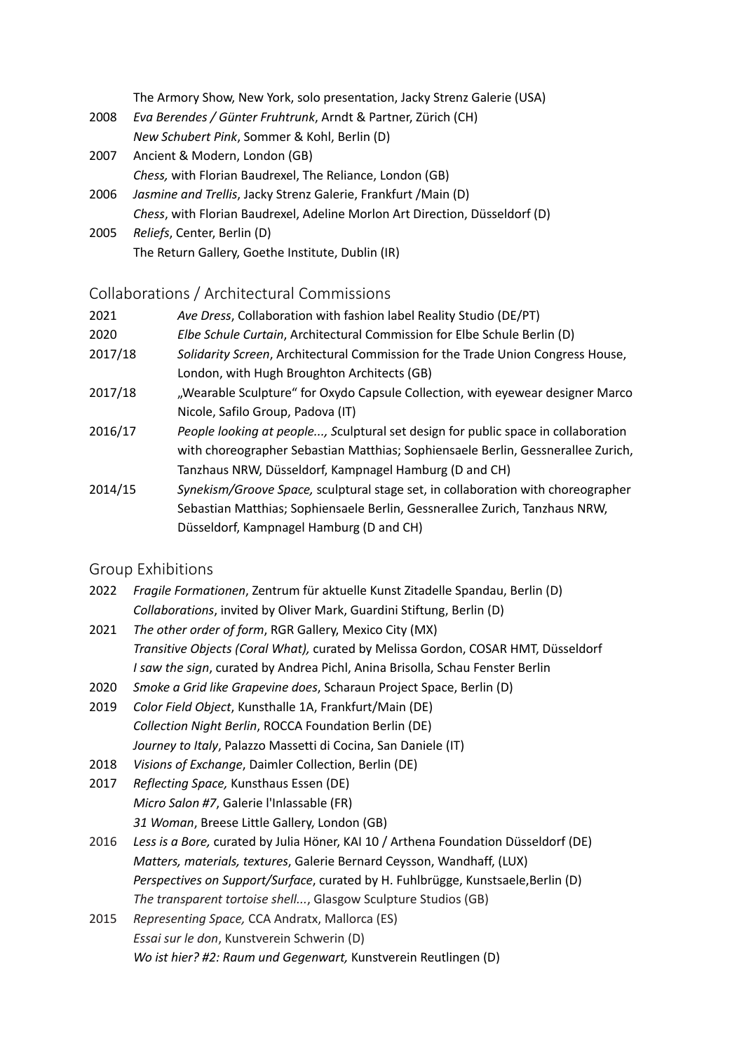The Armory Show, New York, solo presentation, Jacky Strenz Galerie (USA)

- 2008 *Eva Berendes / Günter Fruhtrunk*, Arndt & Partner, Zürich (CH) *New Schubert Pink*, Sommer & Kohl, Berlin (D)
- 2007 Ancient & Modern, London (GB) *Chess,* with Florian Baudrexel, The Reliance, London (GB)
- 2006 *Jasmine and Trellis*, Jacky Strenz Galerie, Frankfurt /Main (D) *Chess*, with Florian Baudrexel, Adeline Morlon Art Direction, Düsseldorf (D)
- 2005 *Reliefs*, Center, Berlin (D) The Return Gallery, Goethe Institute, Dublin (IR)

## Collaborations / Architectural Commissions

| 2021    | Ave Dress, Collaboration with fashion label Reality Studio (DE/PT)                |
|---------|-----------------------------------------------------------------------------------|
| 2020    | Elbe Schule Curtain, Architectural Commission for Elbe Schule Berlin (D)          |
| 2017/18 | Solidarity Screen, Architectural Commission for the Trade Union Congress House,   |
|         | London, with Hugh Broughton Architects (GB)                                       |
| 2017/18 | "Wearable Sculpture" for Oxydo Capsule Collection, with eyewear designer Marco    |
|         | Nicole, Safilo Group, Padova (IT)                                                 |
| 2016/17 | People looking at people, Sculptural set design for public space in collaboration |
|         | with choreographer Sebastian Matthias; Sophiensaele Berlin, Gessnerallee Zurich,  |
|         | Tanzhaus NRW, Düsseldorf, Kampnagel Hamburg (D and CH)                            |
| 2014/15 | Synekism/Groove Space, sculptural stage set, in collaboration with choreographer  |
|         | Sebastian Matthias; Sophiensaele Berlin, Gessnerallee Zurich, Tanzhaus NRW,       |
|         | Düsseldorf, Kampnagel Hamburg (D and CH)                                          |

## Group Exhibitions

| 2022 Fragile Formationen, Zentrum für aktuelle Kunst Zitadelle Spandau, Berlin (D) |
|------------------------------------------------------------------------------------|
| Collaborations, invited by Oliver Mark, Guardini Stiftung, Berlin (D)              |

- 2021 *The other order of form*, RGR Gallery, Mexico City (MX) *Transitive Objects (Coral What),* curated by Melissa Gordon, COSAR HMT, Düsseldorf *I saw the sign*, curated by Andrea Pichl, Anina Brisolla, Schau Fenster Berlin
- 2020 *Smoke a Grid like Grapevine does*, Scharaun Project Space, Berlin (D)
- 2019 *Color Field Object*, Kunsthalle 1A, Frankfurt/Main (DE) *Collection Night Berlin*, ROCCA Foundation Berlin (DE) *Journey to Italy*, Palazzo Massetti di Cocina, San Daniele (IT)
- 2018 *Visions of Exchange*, Daimler Collection, Berlin (DE)
- 2017 *Reflecting Space,* Kunsthaus Essen (DE) *Micro Salon #7*, Galerie l'Inlassable (FR) *31 Woman*, Breese Little Gallery, London (GB)
- 2016 *Less is a Bore,* curated by Julia Höner, KAI 10 / Arthena Foundation Düsseldorf (DE) *Matters, materials, textures*, Galerie Bernard Ceysson, Wandhaff, (LUX) *Perspectives on Support/Surface*, curated by H. Fuhlbrügge, Kunstsaele,Berlin (D) *The transparent tortoise shell...*, Glasgow Sculpture Studios (GB)
- 2015 *Representing Space,* CCA Andratx, Mallorca (ES) *Essai sur le don*, Kunstverein Schwerin (D) *Wo ist hier? #2: Raum und Gegenwart,* Kunstverein Reutlingen (D)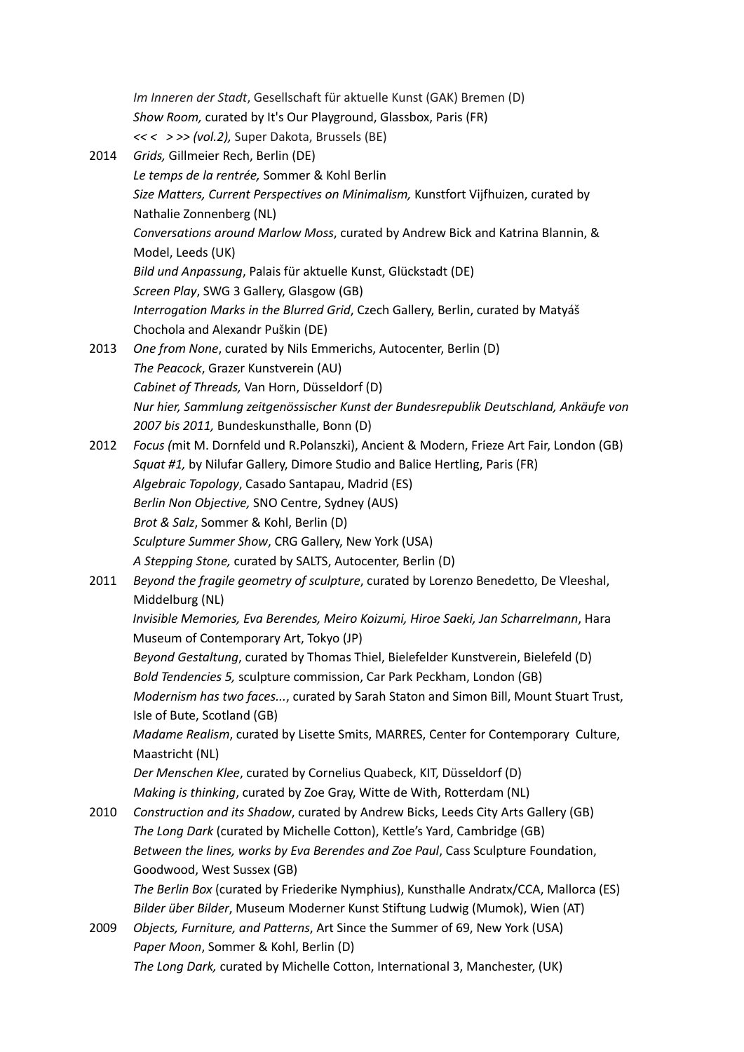|      | Im Inneren der Stadt, Gesellschaft für aktuelle Kunst (GAK) Bremen (D)                                                         |
|------|--------------------------------------------------------------------------------------------------------------------------------|
|      | Show Room, curated by It's Our Playground, Glassbox, Paris (FR)                                                                |
|      | <<< >>> (vol.2), Super Dakota, Brussels (BE)                                                                                   |
| 2014 | Grids, Gillmeier Rech, Berlin (DE)                                                                                             |
|      | Le temps de la rentrée, Sommer & Kohl Berlin                                                                                   |
|      | Size Matters, Current Perspectives on Minimalism, Kunstfort Vijfhuizen, curated by                                             |
|      | Nathalie Zonnenberg (NL)                                                                                                       |
|      | Conversations around Marlow Moss, curated by Andrew Bick and Katrina Blannin, &                                                |
|      | Model, Leeds (UK)                                                                                                              |
|      | Bild und Anpassung, Palais für aktuelle Kunst, Glückstadt (DE)                                                                 |
|      | Screen Play, SWG 3 Gallery, Glasgow (GB)                                                                                       |
|      | Interrogation Marks in the Blurred Grid, Czech Gallery, Berlin, curated by Matyáš                                              |
|      | Chochola and Alexandr Puškin (DE)                                                                                              |
| 2013 | One from None, curated by Nils Emmerichs, Autocenter, Berlin (D)                                                               |
|      | The Peacock, Grazer Kunstverein (AU)                                                                                           |
|      | Cabinet of Threads, Van Horn, Düsseldorf (D)                                                                                   |
|      | Nur hier, Sammlung zeitgenössischer Kunst der Bundesrepublik Deutschland, Ankäufe von                                          |
|      | 2007 bis 2011, Bundeskunsthalle, Bonn (D)                                                                                      |
| 2012 | Focus (mit M. Dornfeld und R.Polanszki), Ancient & Modern, Frieze Art Fair, London (GB)                                        |
|      | Squat #1, by Nilufar Gallery, Dimore Studio and Balice Hertling, Paris (FR)                                                    |
|      | Algebraic Topology, Casado Santapau, Madrid (ES)                                                                               |
|      | Berlin Non Objective, SNO Centre, Sydney (AUS)                                                                                 |
|      | Brot & Salz, Sommer & Kohl, Berlin (D)                                                                                         |
|      | Sculpture Summer Show, CRG Gallery, New York (USA)                                                                             |
|      | A Stepping Stone, curated by SALTS, Autocenter, Berlin (D)                                                                     |
| 2011 | Beyond the fragile geometry of sculpture, curated by Lorenzo Benedetto, De Vleeshal,<br>Middelburg (NL)                        |
|      | Invisible Memories, Eva Berendes, Meiro Koizumi, Hiroe Saeki, Jan Scharrelmann, Hara<br>Museum of Contemporary Art, Tokyo (JP) |
|      | Beyond Gestaltung, curated by Thomas Thiel, Bielefelder Kunstverein, Bielefeld (D)                                             |
|      | Bold Tendencies 5, sculpture commission, Car Park Peckham, London (GB)                                                         |
|      | Modernism has two faces, curated by Sarah Staton and Simon Bill, Mount Stuart Trust,                                           |
|      | Isle of Bute, Scotland (GB)                                                                                                    |
|      | Madame Realism, curated by Lisette Smits, MARRES, Center for Contemporary Culture,                                             |
|      | Maastricht (NL)                                                                                                                |
|      | Der Menschen Klee, curated by Cornelius Quabeck, KIT, Düsseldorf (D)                                                           |
|      | Making is thinking, curated by Zoe Gray, Witte de With, Rotterdam (NL)                                                         |
| 2010 | Construction and its Shadow, curated by Andrew Bicks, Leeds City Arts Gallery (GB)                                             |
|      | The Long Dark (curated by Michelle Cotton), Kettle's Yard, Cambridge (GB)                                                      |
|      | Between the lines, works by Eva Berendes and Zoe Paul, Cass Sculpture Foundation,                                              |
|      | Goodwood, West Sussex (GB)                                                                                                     |
|      | The Berlin Box (curated by Friederike Nymphius), Kunsthalle Andratx/CCA, Mallorca (ES)                                         |
|      | Bilder über Bilder, Museum Moderner Kunst Stiftung Ludwig (Mumok), Wien (AT)                                                   |
| 2009 | Objects, Furniture, and Patterns, Art Since the Summer of 69, New York (USA)                                                   |
|      | Paper Moon, Sommer & Kohl, Berlin (D)                                                                                          |
|      | The Long Dark, curated by Michelle Cotton, International 3, Manchester, (UK)                                                   |